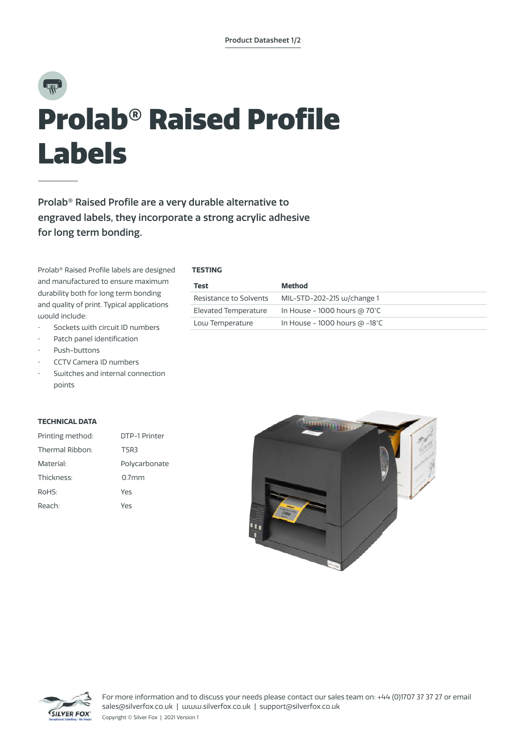# $\overline{\mathbb{R}}$ Prolab® Raised Profile Labels

Prolab® Raised Profile are a very durable alternative to engraved labels, they incorporate a strong acrylic adhesive for long term bonding.

Prolab® Raised Profile labels are designed and manufactured to ensure maximum durability both for long term bonding and quality of print. Typical applications would include:

- Sockets with circuit ID numbers
- Patch panel identification
- Push-buttons
- CCTV Camera ID numbers
- Switches and internal connection points

# **TECHNICAL DATA**

| Printing method: | DTP-1 Printer |
|------------------|---------------|
| Thermal Ribbon:  | TSR3          |
| Material:        | Polycarbonate |
| Thickness:       | $0.7$ mm      |
| RoHS:            | Yes           |
| Reach:           | Yρς           |





**TESTING**

| Test                   | Method                                 |
|------------------------|----------------------------------------|
| Resistance to Solvents | MIL-STD-202-215 w/change 1             |
| Elevated Temperature   | In House - 1000 hours @ $70^{\circ}$ C |
| Low Temperature        | In House - 1000 hours $@ -18°C$        |